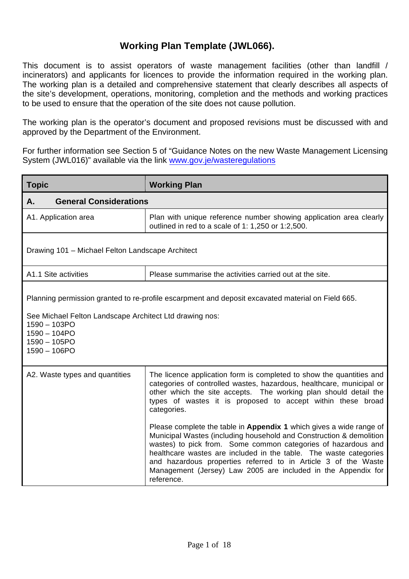This document is to assist operators of waste management facilities (other than landfill / incinerators) and applicants for licences to provide the information required in the working plan. The working plan is a detailed and comprehensive statement that clearly describes all aspects of the site's development, operations, monitoring, completion and the methods and working practices to be used to ensure that the operation of the site does not cause pollution.

The working plan is the operator's document and proposed revisions must be discussed with and approved by the Department of the Environment.

For further information see Section 5 of "Guidance Notes on the new Waste Management Licensing System (JWL016)" available via the link www.gov.je/wasteregulations

| <b>Topic</b>                                                                                                                                                                                                                 | <b>Working Plan</b>                                                                                                                                                                                                                                                                                                                                                                                                               |  |  |  |
|------------------------------------------------------------------------------------------------------------------------------------------------------------------------------------------------------------------------------|-----------------------------------------------------------------------------------------------------------------------------------------------------------------------------------------------------------------------------------------------------------------------------------------------------------------------------------------------------------------------------------------------------------------------------------|--|--|--|
| <b>General Considerations</b><br>Α.                                                                                                                                                                                          |                                                                                                                                                                                                                                                                                                                                                                                                                                   |  |  |  |
| A1. Application area                                                                                                                                                                                                         | Plan with unique reference number showing application area clearly<br>outlined in red to a scale of 1: 1,250 or 1:2,500.                                                                                                                                                                                                                                                                                                          |  |  |  |
| Drawing 101 - Michael Felton Landscape Architect                                                                                                                                                                             |                                                                                                                                                                                                                                                                                                                                                                                                                                   |  |  |  |
| A1.1 Site activities                                                                                                                                                                                                         | Please summarise the activities carried out at the site.                                                                                                                                                                                                                                                                                                                                                                          |  |  |  |
| Planning permission granted to re-profile escarpment and deposit excavated material on Field 665.<br>See Michael Felton Landscape Architect Ltd drawing nos:<br>1590 - 103PO<br>1590 - 104PO<br>1590 - 105PO<br>1590 - 106PO |                                                                                                                                                                                                                                                                                                                                                                                                                                   |  |  |  |
| A2. Waste types and quantities                                                                                                                                                                                               | The licence application form is completed to show the quantities and<br>categories of controlled wastes, hazardous, healthcare, municipal or<br>other which the site accepts. The working plan should detail the<br>types of wastes it is proposed to accept within these broad<br>categories.                                                                                                                                    |  |  |  |
|                                                                                                                                                                                                                              | Please complete the table in Appendix 1 which gives a wide range of<br>Municipal Wastes (including household and Construction & demolition<br>wastes) to pick from. Some common categories of hazardous and<br>healthcare wastes are included in the table. The waste categories<br>and hazardous properties referred to in Article 3 of the Waste<br>Management (Jersey) Law 2005 are included in the Appendix for<br>reference. |  |  |  |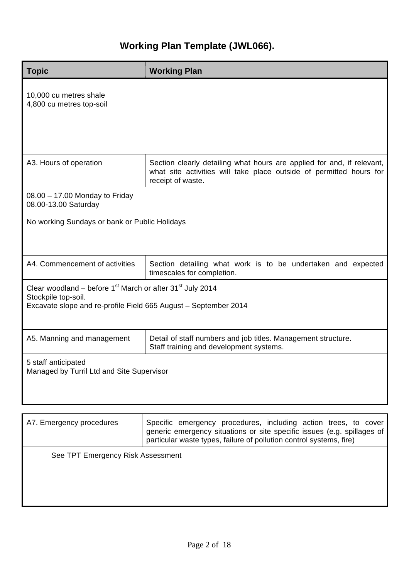| <b>Working Plan</b>                                                                                                                                                                                               |  |  |  |
|-------------------------------------------------------------------------------------------------------------------------------------------------------------------------------------------------------------------|--|--|--|
|                                                                                                                                                                                                                   |  |  |  |
| Section clearly detailing what hours are applied for and, if relevant,<br>what site activities will take place outside of permitted hours for<br>receipt of waste.                                                |  |  |  |
|                                                                                                                                                                                                                   |  |  |  |
| No working Sundays or bank or Public Holidays                                                                                                                                                                     |  |  |  |
| Section detailing what work is to be undertaken and expected<br>timescales for completion.                                                                                                                        |  |  |  |
| Clear woodland – before $1st$ March or after 31 $st$ July 2014<br>Stockpile top-soil.<br>Excavate slope and re-profile Field 665 August - September 2014                                                          |  |  |  |
| Detail of staff numbers and job titles. Management structure.<br>Staff training and development systems.                                                                                                          |  |  |  |
| 5 staff anticipated<br>Managed by Turril Ltd and Site Supervisor                                                                                                                                                  |  |  |  |
| Specific emergency procedures, including action trees, to cover<br>generic emergency situations or site specific issues (e.g. spillages of<br>particular waste types, failure of pollution control systems, fire) |  |  |  |
|                                                                                                                                                                                                                   |  |  |  |

See TPT Emergency Risk Assessment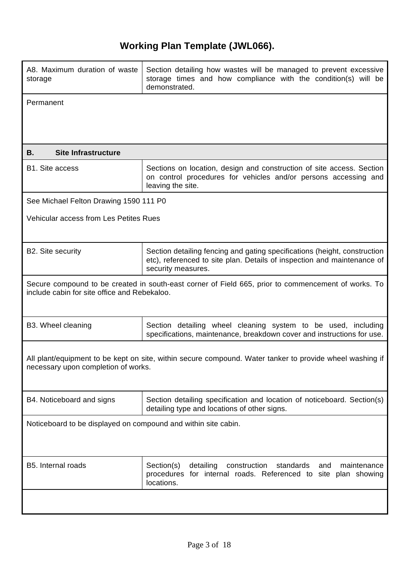| A8. Maximum duration of waste<br>storage                                                                                                            | Section detailing how wastes will be managed to prevent excessive<br>storage times and how compliance with the condition(s) will be<br>demonstrated.                       |  |  |
|-----------------------------------------------------------------------------------------------------------------------------------------------------|----------------------------------------------------------------------------------------------------------------------------------------------------------------------------|--|--|
| Permanent                                                                                                                                           |                                                                                                                                                                            |  |  |
|                                                                                                                                                     |                                                                                                                                                                            |  |  |
|                                                                                                                                                     |                                                                                                                                                                            |  |  |
| <b>Site Infrastructure</b><br>В.                                                                                                                    |                                                                                                                                                                            |  |  |
| <b>B1.</b> Site access                                                                                                                              | Sections on location, design and construction of site access. Section<br>on control procedures for vehicles and/or persons accessing and<br>leaving the site.              |  |  |
| See Michael Felton Drawing 1590 111 P0                                                                                                              |                                                                                                                                                                            |  |  |
| <b>Vehicular access from Les Petites Rues</b>                                                                                                       |                                                                                                                                                                            |  |  |
|                                                                                                                                                     |                                                                                                                                                                            |  |  |
| B2. Site security                                                                                                                                   | Section detailing fencing and gating specifications (height, construction<br>etc), referenced to site plan. Details of inspection and maintenance of<br>security measures. |  |  |
| Secure compound to be created in south-east corner of Field 665, prior to commencement of works. To<br>include cabin for site office and Rebekaloo. |                                                                                                                                                                            |  |  |
| B3. Wheel cleaning                                                                                                                                  | Section detailing wheel cleaning system to be used, including<br>specifications, maintenance, breakdown cover and instructions for use.                                    |  |  |
| All plant/equipment to be kept on site, within secure compound. Water tanker to provide wheel washing if<br>necessary upon completion of works.     |                                                                                                                                                                            |  |  |
| B4. Noticeboard and signs                                                                                                                           | Section detailing specification and location of noticeboard. Section(s)<br>detailing type and locations of other signs.                                                    |  |  |
| Noticeboard to be displayed on compound and within site cabin.                                                                                      |                                                                                                                                                                            |  |  |
| B5. Internal roads                                                                                                                                  | Section(s)<br>detailing<br>construction<br>standards<br>maintenance<br>and<br>procedures for internal roads. Referenced to site plan showing<br>locations.                 |  |  |
|                                                                                                                                                     |                                                                                                                                                                            |  |  |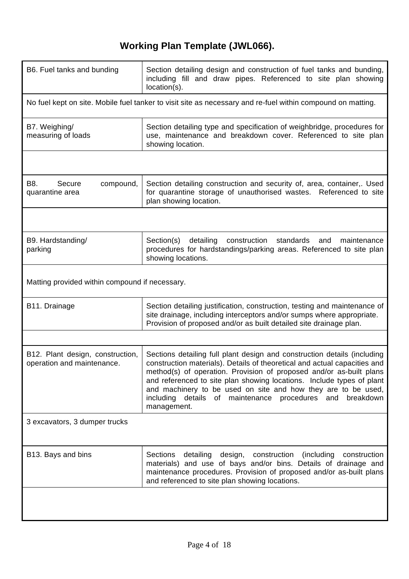| B6. Fuel tanks and bunding                                                                                  | Section detailing design and construction of fuel tanks and bunding,<br>including fill and draw pipes. Referenced to site plan showing<br>location(s).                                                                                                                                                                                                                                                                                                         |  |  |
|-------------------------------------------------------------------------------------------------------------|----------------------------------------------------------------------------------------------------------------------------------------------------------------------------------------------------------------------------------------------------------------------------------------------------------------------------------------------------------------------------------------------------------------------------------------------------------------|--|--|
| No fuel kept on site. Mobile fuel tanker to visit site as necessary and re-fuel within compound on matting. |                                                                                                                                                                                                                                                                                                                                                                                                                                                                |  |  |
| B7. Weighing/<br>measuring of loads                                                                         | Section detailing type and specification of weighbridge, procedures for<br>use, maintenance and breakdown cover. Referenced to site plan<br>showing location.                                                                                                                                                                                                                                                                                                  |  |  |
|                                                                                                             |                                                                                                                                                                                                                                                                                                                                                                                                                                                                |  |  |
| B8.<br>Secure<br>compound,<br>quarantine area                                                               | Section detailing construction and security of, area, container,. Used<br>for quarantine storage of unauthorised wastes. Referenced to site<br>plan showing location.                                                                                                                                                                                                                                                                                          |  |  |
|                                                                                                             |                                                                                                                                                                                                                                                                                                                                                                                                                                                                |  |  |
| B9. Hardstanding/<br>parking                                                                                | Section(s)<br>detailing<br>construction<br>standards<br>and<br>maintenance<br>procedures for hardstandings/parking areas. Referenced to site plan<br>showing locations.                                                                                                                                                                                                                                                                                        |  |  |
| Matting provided within compound if necessary.                                                              |                                                                                                                                                                                                                                                                                                                                                                                                                                                                |  |  |
| B <sub>11</sub> . Drainage                                                                                  | Section detailing justification, construction, testing and maintenance of<br>site drainage, including interceptors and/or sumps where appropriate.<br>Provision of proposed and/or as built detailed site drainage plan.                                                                                                                                                                                                                                       |  |  |
|                                                                                                             |                                                                                                                                                                                                                                                                                                                                                                                                                                                                |  |  |
| B12. Plant design, construction,<br>operation and maintenance.                                              | Sections detailing full plant design and construction details (including<br>construction materials). Details of theoretical and actual capacities and<br>method(s) of operation. Provision of proposed and/or as-built plans<br>and referenced to site plan showing locations. Include types of plant<br>and machinery to be used on site and how they are to be used,<br>details<br>including<br>of maintenance procedures<br>breakdown<br>and<br>management. |  |  |
| 3 excavators, 3 dumper trucks                                                                               |                                                                                                                                                                                                                                                                                                                                                                                                                                                                |  |  |
| B13. Bays and bins                                                                                          | Sections<br>detailing<br>design, construction (including<br>construction<br>materials) and use of bays and/or bins. Details of drainage and<br>maintenance procedures. Provision of proposed and/or as-built plans<br>and referenced to site plan showing locations.                                                                                                                                                                                           |  |  |
|                                                                                                             |                                                                                                                                                                                                                                                                                                                                                                                                                                                                |  |  |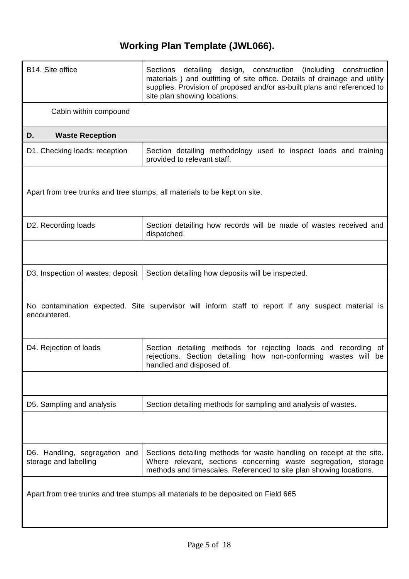| B14. Site office                                                                                                  | Sections detailing design, construction (including construction<br>materials) and outfitting of site office. Details of drainage and utility<br>supplies. Provision of proposed and/or as-built plans and referenced to<br>site plan showing locations. |  |  |
|-------------------------------------------------------------------------------------------------------------------|---------------------------------------------------------------------------------------------------------------------------------------------------------------------------------------------------------------------------------------------------------|--|--|
| Cabin within compound                                                                                             |                                                                                                                                                                                                                                                         |  |  |
| <b>Waste Reception</b><br>D.                                                                                      |                                                                                                                                                                                                                                                         |  |  |
| D1. Checking loads: reception                                                                                     | Section detailing methodology used to inspect loads and training<br>provided to relevant staff.                                                                                                                                                         |  |  |
|                                                                                                                   | Apart from tree trunks and tree stumps, all materials to be kept on site.                                                                                                                                                                               |  |  |
| D2. Recording loads                                                                                               | Section detailing how records will be made of wastes received and<br>dispatched.                                                                                                                                                                        |  |  |
|                                                                                                                   |                                                                                                                                                                                                                                                         |  |  |
| D3. Inspection of wastes: deposit                                                                                 | Section detailing how deposits will be inspected.                                                                                                                                                                                                       |  |  |
| No contamination expected. Site supervisor will inform staff to report if any suspect material is<br>encountered. |                                                                                                                                                                                                                                                         |  |  |
| D4. Rejection of loads                                                                                            | Section detailing methods for rejecting loads and recording of<br>rejections. Section detailing how non-conforming wastes will be<br>handled and disposed of.                                                                                           |  |  |
|                                                                                                                   |                                                                                                                                                                                                                                                         |  |  |
| D5. Sampling and analysis                                                                                         | Section detailing methods for sampling and analysis of wastes.                                                                                                                                                                                          |  |  |
|                                                                                                                   |                                                                                                                                                                                                                                                         |  |  |
| D6. Handling, segregation and<br>storage and labelling                                                            | Sections detailing methods for waste handling on receipt at the site.<br>Where relevant, sections concerning waste segregation, storage<br>methods and timescales. Referenced to site plan showing locations.                                           |  |  |
|                                                                                                                   | Apart from tree trunks and tree stumps all materials to be deposited on Field 665                                                                                                                                                                       |  |  |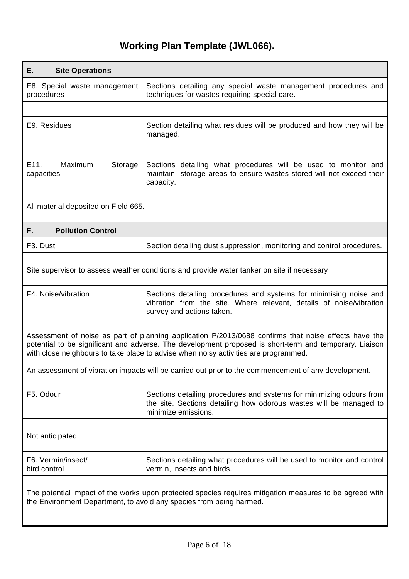| Е.<br><b>Site Operations</b>                                                                                                                                                                                                                                                                          |                                                                                                                                                                        |  |  |  |
|-------------------------------------------------------------------------------------------------------------------------------------------------------------------------------------------------------------------------------------------------------------------------------------------------------|------------------------------------------------------------------------------------------------------------------------------------------------------------------------|--|--|--|
| E8. Special waste management<br>procedures                                                                                                                                                                                                                                                            | Sections detailing any special waste management procedures and<br>techniques for wastes requiring special care.                                                        |  |  |  |
|                                                                                                                                                                                                                                                                                                       |                                                                                                                                                                        |  |  |  |
| E9. Residues                                                                                                                                                                                                                                                                                          | Section detailing what residues will be produced and how they will be<br>managed.                                                                                      |  |  |  |
|                                                                                                                                                                                                                                                                                                       |                                                                                                                                                                        |  |  |  |
| E11.<br>Maximum<br>Storage<br>capacities                                                                                                                                                                                                                                                              | Sections detailing what procedures will be used to monitor and<br>maintain storage areas to ensure wastes stored will not exceed their<br>capacity.                    |  |  |  |
| All material deposited on Field 665.                                                                                                                                                                                                                                                                  |                                                                                                                                                                        |  |  |  |
| F.<br><b>Pollution Control</b>                                                                                                                                                                                                                                                                        |                                                                                                                                                                        |  |  |  |
| F <sub>3</sub> . Dust                                                                                                                                                                                                                                                                                 | Section detailing dust suppression, monitoring and control procedures.                                                                                                 |  |  |  |
|                                                                                                                                                                                                                                                                                                       | Site supervisor to assess weather conditions and provide water tanker on site if necessary                                                                             |  |  |  |
| F4. Noise/vibration                                                                                                                                                                                                                                                                                   | Sections detailing procedures and systems for minimising noise and<br>vibration from the site. Where relevant, details of noise/vibration<br>survey and actions taken. |  |  |  |
| Assessment of noise as part of planning application P/2013/0688 confirms that noise effects have the<br>potential to be significant and adverse. The development proposed is short-term and temporary. Liaison<br>with close neighbours to take place to advise when noisy activities are programmed. |                                                                                                                                                                        |  |  |  |
| An assessment of vibration impacts will be carried out prior to the commencement of any development.                                                                                                                                                                                                  |                                                                                                                                                                        |  |  |  |
| F5. Odour                                                                                                                                                                                                                                                                                             | Sections detailing procedures and systems for minimizing odours from<br>the site. Sections detailing how odorous wastes will be managed to<br>minimize emissions.      |  |  |  |
| Not anticipated.                                                                                                                                                                                                                                                                                      |                                                                                                                                                                        |  |  |  |
| F6. Vermin/insect/<br>bird control                                                                                                                                                                                                                                                                    | Sections detailing what procedures will be used to monitor and control<br>vermin, insects and birds.                                                                   |  |  |  |
| The potential impact of the works upon protected species requires mitigation measures to be agreed with<br>the Environment Department, to avoid any species from being harmed.                                                                                                                        |                                                                                                                                                                        |  |  |  |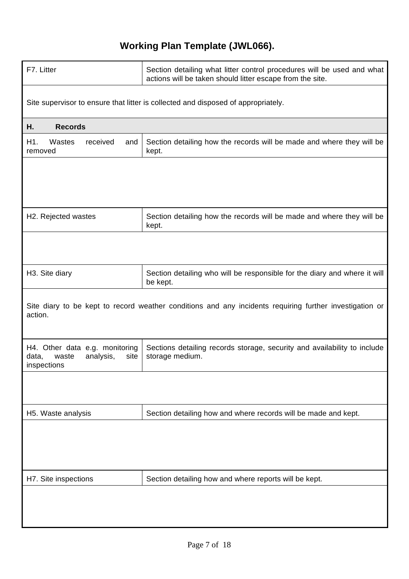| F7. Litter                                                                                                         | Section detailing what litter control procedures will be used and what<br>actions will be taken should litter escape from the site. |  |  |  |
|--------------------------------------------------------------------------------------------------------------------|-------------------------------------------------------------------------------------------------------------------------------------|--|--|--|
| Site supervisor to ensure that litter is collected and disposed of appropriately.                                  |                                                                                                                                     |  |  |  |
| Η.<br><b>Records</b>                                                                                               |                                                                                                                                     |  |  |  |
| H1.<br>Wastes<br>received<br>and<br>removed                                                                        | Section detailing how the records will be made and where they will be<br>kept.                                                      |  |  |  |
|                                                                                                                    |                                                                                                                                     |  |  |  |
|                                                                                                                    |                                                                                                                                     |  |  |  |
| H <sub>2</sub> . Rejected wastes                                                                                   | Section detailing how the records will be made and where they will be<br>kept.                                                      |  |  |  |
|                                                                                                                    |                                                                                                                                     |  |  |  |
| H <sub>3</sub> . Site diary                                                                                        | Section detailing who will be responsible for the diary and where it will<br>be kept.                                               |  |  |  |
| Site diary to be kept to record weather conditions and any incidents requiring further investigation or<br>action. |                                                                                                                                     |  |  |  |
| H4. Other data e.g. monitoring<br>data,<br>waste<br>analysis,<br>site<br>inspections                               | Sections detailing records storage, security and availability to include<br>storage medium.                                         |  |  |  |
|                                                                                                                    |                                                                                                                                     |  |  |  |
| H5. Waste analysis                                                                                                 | Section detailing how and where records will be made and kept.                                                                      |  |  |  |
|                                                                                                                    |                                                                                                                                     |  |  |  |
| H7. Site inspections                                                                                               | Section detailing how and where reports will be kept.                                                                               |  |  |  |
|                                                                                                                    |                                                                                                                                     |  |  |  |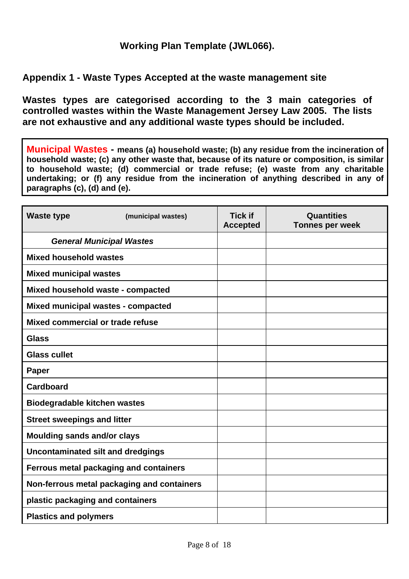### **Appendix 1 - Waste Types Accepted at the waste management site**

**Wastes types are categorised according to the 3 main categories of controlled wastes within the Waste Management Jersey Law 2005. The lists are not exhaustive and any additional waste types should be included.** 

**Municipal Wastes - means (a) household waste; (b) any residue from the incineration of household waste; (c) any other waste that, because of its nature or composition, is similar to household waste; (d) commercial or trade refuse; (e) waste from any charitable undertaking; or (f) any residue from the incineration of anything described in any of paragraphs (c), (d) and (e).**

| <b>Waste type</b>                          | (municipal wastes) | <b>Tick if</b><br><b>Accepted</b> | Quantities<br><b>Tonnes per week</b> |
|--------------------------------------------|--------------------|-----------------------------------|--------------------------------------|
| <b>General Municipal Wastes</b>            |                    |                                   |                                      |
| <b>Mixed household wastes</b>              |                    |                                   |                                      |
| <b>Mixed municipal wastes</b>              |                    |                                   |                                      |
| Mixed household waste - compacted          |                    |                                   |                                      |
| Mixed municipal wastes - compacted         |                    |                                   |                                      |
| Mixed commercial or trade refuse           |                    |                                   |                                      |
| <b>Glass</b>                               |                    |                                   |                                      |
| <b>Glass cullet</b>                        |                    |                                   |                                      |
| <b>Paper</b>                               |                    |                                   |                                      |
| <b>Cardboard</b>                           |                    |                                   |                                      |
| <b>Biodegradable kitchen wastes</b>        |                    |                                   |                                      |
| <b>Street sweepings and litter</b>         |                    |                                   |                                      |
| <b>Moulding sands and/or clays</b>         |                    |                                   |                                      |
| Uncontaminated silt and dredgings          |                    |                                   |                                      |
| Ferrous metal packaging and containers     |                    |                                   |                                      |
| Non-ferrous metal packaging and containers |                    |                                   |                                      |
| plastic packaging and containers           |                    |                                   |                                      |
| <b>Plastics and polymers</b>               |                    |                                   |                                      |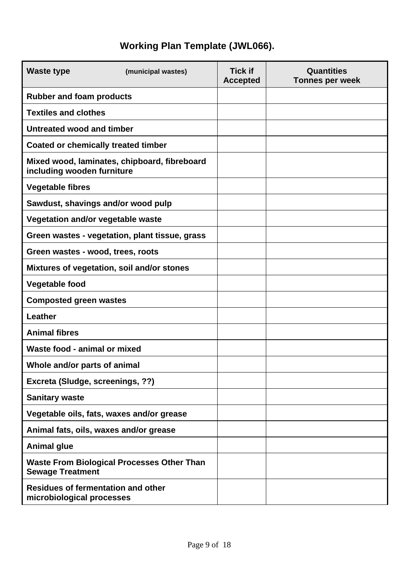| <b>Waste type</b>                                                            | (municipal wastes)                             | <b>Tick if</b><br><b>Accepted</b> | <b>Quantities</b><br><b>Tonnes per week</b> |
|------------------------------------------------------------------------------|------------------------------------------------|-----------------------------------|---------------------------------------------|
| <b>Rubber and foam products</b>                                              |                                                |                                   |                                             |
| <b>Textiles and clothes</b>                                                  |                                                |                                   |                                             |
| Untreated wood and timber                                                    |                                                |                                   |                                             |
| <b>Coated or chemically treated timber</b>                                   |                                                |                                   |                                             |
| including wooden furniture                                                   | Mixed wood, laminates, chipboard, fibreboard   |                                   |                                             |
| <b>Vegetable fibres</b>                                                      |                                                |                                   |                                             |
| Sawdust, shavings and/or wood pulp                                           |                                                |                                   |                                             |
| Vegetation and/or vegetable waste                                            |                                                |                                   |                                             |
|                                                                              | Green wastes - vegetation, plant tissue, grass |                                   |                                             |
| Green wastes - wood, trees, roots                                            |                                                |                                   |                                             |
|                                                                              | Mixtures of vegetation, soil and/or stones     |                                   |                                             |
| <b>Vegetable food</b>                                                        |                                                |                                   |                                             |
| <b>Composted green wastes</b>                                                |                                                |                                   |                                             |
| Leather                                                                      |                                                |                                   |                                             |
| <b>Animal fibres</b>                                                         |                                                |                                   |                                             |
| Waste food - animal or mixed                                                 |                                                |                                   |                                             |
| Whole and/or parts of animal                                                 |                                                |                                   |                                             |
| Excreta (Sludge, screenings, ??)                                             |                                                |                                   |                                             |
| <b>Sanitary waste</b>                                                        |                                                |                                   |                                             |
|                                                                              | Vegetable oils, fats, waxes and/or grease      |                                   |                                             |
|                                                                              | Animal fats, oils, waxes and/or grease         |                                   |                                             |
| <b>Animal glue</b>                                                           |                                                |                                   |                                             |
| <b>Waste From Biological Processes Other Than</b><br><b>Sewage Treatment</b> |                                                |                                   |                                             |
| <b>Residues of fermentation and other</b><br>microbiological processes       |                                                |                                   |                                             |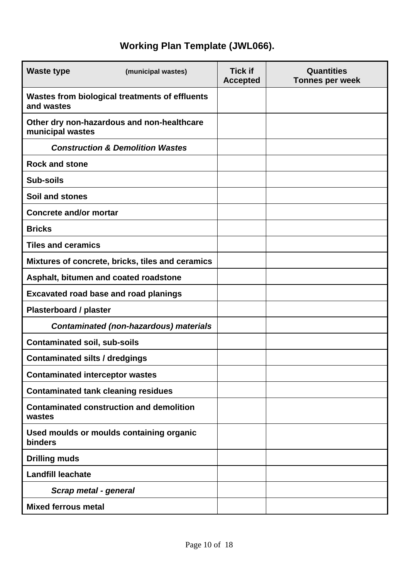| <b>Waste type</b>                                            | (municipal wastes)                               | <b>Tick if</b><br><b>Accepted</b> | Quantities<br><b>Tonnes per week</b> |
|--------------------------------------------------------------|--------------------------------------------------|-----------------------------------|--------------------------------------|
| Wastes from biological treatments of effluents<br>and wastes |                                                  |                                   |                                      |
| municipal wastes                                             | Other dry non-hazardous and non-healthcare       |                                   |                                      |
|                                                              | <b>Construction &amp; Demolition Wastes</b>      |                                   |                                      |
| <b>Rock and stone</b>                                        |                                                  |                                   |                                      |
| <b>Sub-soils</b>                                             |                                                  |                                   |                                      |
| Soil and stones                                              |                                                  |                                   |                                      |
| <b>Concrete and/or mortar</b>                                |                                                  |                                   |                                      |
| <b>Bricks</b>                                                |                                                  |                                   |                                      |
| <b>Tiles and ceramics</b>                                    |                                                  |                                   |                                      |
|                                                              | Mixtures of concrete, bricks, tiles and ceramics |                                   |                                      |
| Asphalt, bitumen and coated roadstone                        |                                                  |                                   |                                      |
| <b>Excavated road base and road planings</b>                 |                                                  |                                   |                                      |
| <b>Plasterboard / plaster</b>                                |                                                  |                                   |                                      |
|                                                              | <b>Contaminated (non-hazardous) materials</b>    |                                   |                                      |
| <b>Contaminated soil, sub-soils</b>                          |                                                  |                                   |                                      |
| <b>Contaminated silts / dredgings</b>                        |                                                  |                                   |                                      |
| <b>Contaminated interceptor wastes</b>                       |                                                  |                                   |                                      |
| <b>Contaminated tank cleaning residues</b>                   |                                                  |                                   |                                      |
| wastes                                                       | <b>Contaminated construction and demolition</b>  |                                   |                                      |
| <b>binders</b>                                               | Used moulds or moulds containing organic         |                                   |                                      |
| <b>Drilling muds</b>                                         |                                                  |                                   |                                      |
| <b>Landfill leachate</b>                                     |                                                  |                                   |                                      |
| Scrap metal - general                                        |                                                  |                                   |                                      |
| <b>Mixed ferrous metal</b>                                   |                                                  |                                   |                                      |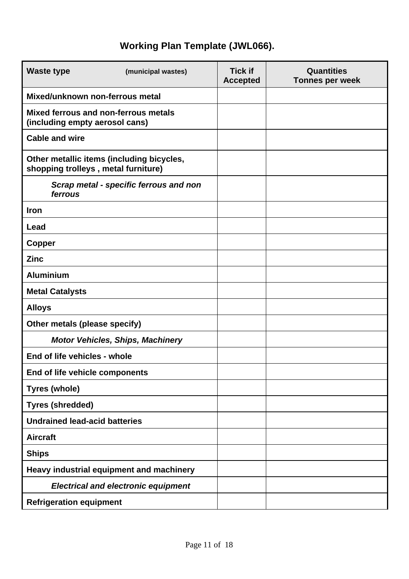| <b>Waste type</b>                                                      | (municipal wastes)                         | <b>Tick if</b><br><b>Accepted</b> | <b>Quantities</b><br><b>Tonnes per week</b> |
|------------------------------------------------------------------------|--------------------------------------------|-----------------------------------|---------------------------------------------|
| Mixed/unknown non-ferrous metal                                        |                                            |                                   |                                             |
| Mixed ferrous and non-ferrous metals<br>(including empty aerosol cans) |                                            |                                   |                                             |
| <b>Cable and wire</b>                                                  |                                            |                                   |                                             |
| shopping trolleys, metal furniture)                                    | Other metallic items (including bicycles,  |                                   |                                             |
| ferrous                                                                | Scrap metal - specific ferrous and non     |                                   |                                             |
| Iron                                                                   |                                            |                                   |                                             |
| Lead                                                                   |                                            |                                   |                                             |
| <b>Copper</b>                                                          |                                            |                                   |                                             |
| <b>Zinc</b>                                                            |                                            |                                   |                                             |
| <b>Aluminium</b>                                                       |                                            |                                   |                                             |
| <b>Metal Catalysts</b>                                                 |                                            |                                   |                                             |
| <b>Alloys</b>                                                          |                                            |                                   |                                             |
| Other metals (please specify)                                          |                                            |                                   |                                             |
|                                                                        | <b>Motor Vehicles, Ships, Machinery</b>    |                                   |                                             |
| End of life vehicles - whole                                           |                                            |                                   |                                             |
| End of life vehicle components                                         |                                            |                                   |                                             |
| <b>Tyres (whole)</b>                                                   |                                            |                                   |                                             |
| <b>Tyres (shredded)</b>                                                |                                            |                                   |                                             |
| <b>Undrained lead-acid batteries</b>                                   |                                            |                                   |                                             |
| <b>Aircraft</b>                                                        |                                            |                                   |                                             |
| <b>Ships</b>                                                           |                                            |                                   |                                             |
|                                                                        | Heavy industrial equipment and machinery   |                                   |                                             |
|                                                                        | <b>Electrical and electronic equipment</b> |                                   |                                             |
| <b>Refrigeration equipment</b>                                         |                                            |                                   |                                             |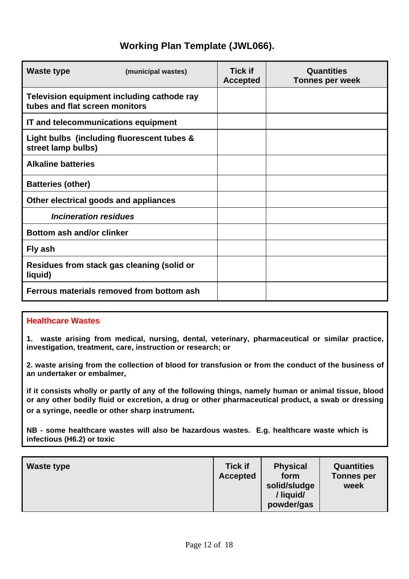| Waste type                                                                   | (municipal wastes) | <b>Tick if</b><br><b>Accepted</b> | Quantities<br><b>Tonnes per week</b> |
|------------------------------------------------------------------------------|--------------------|-----------------------------------|--------------------------------------|
| Television equipment including cathode ray<br>tubes and flat screen monitors |                    |                                   |                                      |
| IT and telecommunications equipment                                          |                    |                                   |                                      |
| Light bulbs (including fluorescent tubes &<br>street lamp bulbs)             |                    |                                   |                                      |
| <b>Alkaline batteries</b>                                                    |                    |                                   |                                      |
| <b>Batteries (other)</b>                                                     |                    |                                   |                                      |
| Other electrical goods and appliances                                        |                    |                                   |                                      |
| <b>Incineration residues</b>                                                 |                    |                                   |                                      |
| Bottom ash and/or clinker                                                    |                    |                                   |                                      |
| Fly ash                                                                      |                    |                                   |                                      |
| Residues from stack gas cleaning (solid or<br>liquid)                        |                    |                                   |                                      |
| Ferrous materials removed from bottom ash                                    |                    |                                   |                                      |

### **Healthcare Wastes**

**1. waste arising from medical, nursing, dental, veterinary, pharmaceutical or similar practice, investigation, treatment, care, instruction or research; or**

**2. waste arising from the collection of blood for transfusion or from the conduct of the business of an undertaker or embalmer,**

**if it consists wholly or partly of any of the following things, namely human or animal tissue, blood or any other bodily fluid or excretion, a drug or other pharmaceutical product, a swab or dressing or a syringe, needle or other sharp instrument.**

**NB - some healthcare wastes will also be hazardous wastes. E.g. healthcare waste which is infectious (H6.2) or toxic**

| <b>Waste type</b> | <b>Tick if</b><br><b>Accepted</b> | <b>Physical</b><br>form<br>solid/sludge<br>/liquid/<br>powder/gas | <b>Quantities</b><br><b>Tonnes per</b><br>week |
|-------------------|-----------------------------------|-------------------------------------------------------------------|------------------------------------------------|
|-------------------|-----------------------------------|-------------------------------------------------------------------|------------------------------------------------|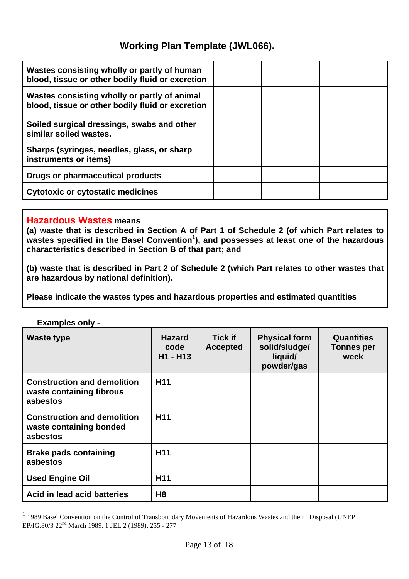| Wastes consisting wholly or partly of human<br>blood, tissue or other bodily fluid or excretion  |  |  |
|--------------------------------------------------------------------------------------------------|--|--|
| Wastes consisting wholly or partly of animal<br>blood, tissue or other bodily fluid or excretion |  |  |
| Soiled surgical dressings, swabs and other<br>similar soiled wastes.                             |  |  |
| Sharps (syringes, needles, glass, or sharp<br>instruments or items)                              |  |  |
| Drugs or pharmaceutical products                                                                 |  |  |
| <b>Cytotoxic or cytostatic medicines</b>                                                         |  |  |

### **Hazardous Wastes means**

**(a) waste that is described in Section A of Part 1 of Schedule 2 (of which Part relates to wastes specified in the Basel Convention<sup>1</sup> ), and possesses at least one of the hazardous characteristics described in Section B of that part; and**

**(b) waste that is described in Part 2 of Schedule 2 (which Part relates to other wastes that are hazardous by national definition).**

**Please indicate the wastes types and hazardous properties and estimated quantities** 

**Examples only -**

| <b>Waste type</b>                                                          | <b>Hazard</b><br>code<br>H1 - H13 | <b>Tick if</b><br><b>Accepted</b> | <b>Physical form</b><br>solid/sludge/<br>liquid/<br>powder/gas | <b>Quantities</b><br><b>Tonnes per</b><br>week |
|----------------------------------------------------------------------------|-----------------------------------|-----------------------------------|----------------------------------------------------------------|------------------------------------------------|
| <b>Construction and demolition</b><br>waste containing fibrous<br>asbestos | H <sub>11</sub>                   |                                   |                                                                |                                                |
| <b>Construction and demolition</b><br>waste containing bonded<br>asbestos  | H <sub>11</sub>                   |                                   |                                                                |                                                |
| <b>Brake pads containing</b><br>asbestos                                   | H <sub>11</sub>                   |                                   |                                                                |                                                |
| <b>Used Engine Oil</b>                                                     | H <sub>11</sub>                   |                                   |                                                                |                                                |
| Acid in lead acid batteries                                                | H <sub>8</sub>                    |                                   |                                                                |                                                |

<sup>&</sup>lt;sup>1</sup> 1989 Basel Convention on the Control of Transboundary Movements of Hazardous Wastes and their Disposal (UNEP EP/IG.80/3 22nd March 1989. 1 JEL 2 (1989), 255 - 277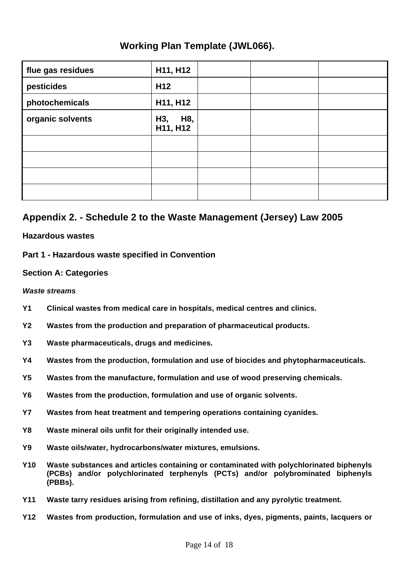| flue gas residues | H11, H12               |  |  |
|-------------------|------------------------|--|--|
| pesticides        | H <sub>12</sub>        |  |  |
| photochemicals    | H11, H12               |  |  |
| organic solvents  | H8,<br>H3,<br>H11, H12 |  |  |
|                   |                        |  |  |
|                   |                        |  |  |
|                   |                        |  |  |
|                   |                        |  |  |

## **Appendix 2. - Schedule 2 to the Waste Management (Jersey) Law 2005**

### **Hazardous wastes**

### **Part 1 - Hazardous waste specified in Convention**

### **Section A: Categories**

### *Waste streams*

- **Y1 Clinical wastes from medical care in hospitals, medical centres and clinics.**
- **Y2 Wastes from the production and preparation of pharmaceutical products.**
- **Y3 Waste pharmaceuticals, drugs and medicines.**
- **Y4 Wastes from the production, formulation and use of biocides and phytopharmaceuticals.**
- **Y5 Wastes from the manufacture, formulation and use of wood preserving chemicals.**
- **Y6 Wastes from the production, formulation and use of organic solvents.**
- **Y7 Wastes from heat treatment and tempering operations containing cyanides.**
- **Y8 Waste mineral oils unfit for their originally intended use.**
- **Y9 Waste oils/water, hydrocarbons/water mixtures, emulsions.**
- **Y10 Waste substances and articles containing or contaminated with polychlorinated biphenyls (PCBs) and/or polychlorinated terphenyls (PCTs) and/or polybrominated biphenyls (PBBs).**
- **Y11 Waste tarry residues arising from refining, distillation and any pyrolytic treatment.**
- **Y12 Wastes from production, formulation and use of inks, dyes, pigments, paints, lacquers or**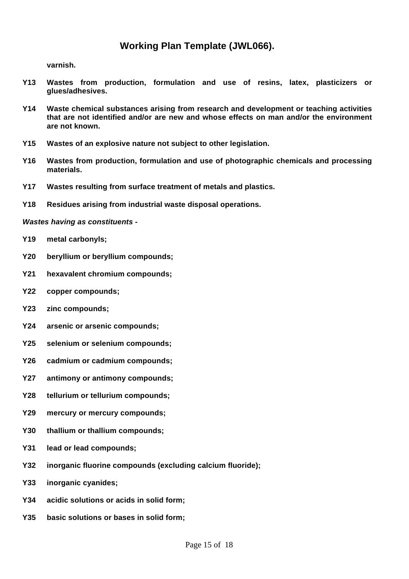**varnish.**

- **Y13 Wastes from production, formulation and use of resins, latex, plasticizers or glues/adhesives.**
- **Y14 Waste chemical substances arising from research and development or teaching activities that are not identified and/or are new and whose effects on man and/or the environment are not known.**
- **Y15 Wastes of an explosive nature not subject to other legislation.**
- **Y16 Wastes from production, formulation and use of photographic chemicals and processing materials.**
- **Y17 Wastes resulting from surface treatment of metals and plastics.**
- **Y18 Residues arising from industrial waste disposal operations.**

*Wastes having as constituents -*

- **Y19 metal carbonyls;**
- **Y20 beryllium or beryllium compounds;**
- **Y21 hexavalent chromium compounds;**
- **Y22 copper compounds;**
- **Y23 zinc compounds;**
- **Y24 arsenic or arsenic compounds;**
- **Y25 selenium or selenium compounds;**
- **Y26 cadmium or cadmium compounds;**
- **Y27 antimony or antimony compounds;**
- **Y28 tellurium or tellurium compounds;**
- **Y29 mercury or mercury compounds;**
- **Y30 thallium or thallium compounds;**
- **Y31 lead or lead compounds;**
- **Y32 inorganic fluorine compounds (excluding calcium fluoride);**
- **Y33 inorganic cyanides;**
- **Y34 acidic solutions or acids in solid form;**
- **Y35 basic solutions or bases in solid form;**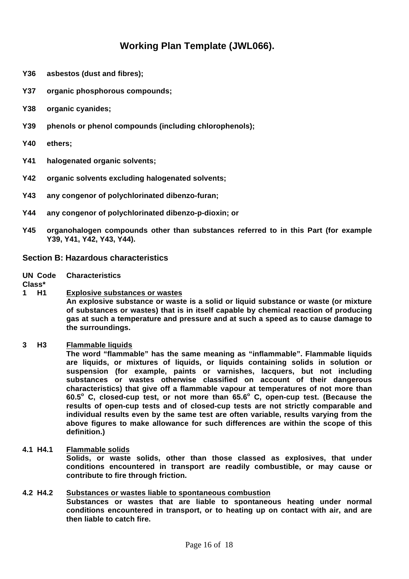- **Y36 asbestos (dust and fibres);**
- **Y37 organic phosphorous compounds;**
- **Y38 organic cyanides;**
- **Y39 phenols or phenol compounds (including chlorophenols);**
- **Y40 ethers;**
- **Y41 halogenated organic solvents;**
- **Y42 organic solvents excluding halogenated solvents;**
- **Y43 any congenor of polychlorinated dibenzo-furan;**
- **Y44 any congenor of polychlorinated dibenzo-p-dioxin; or**
- **Y45 organohalogen compounds other than substances referred to in this Part (for example Y39, Y41, Y42, Y43, Y44).**

#### **Section B: Hazardous characteristics**

**UN Code Characteristics**

**Class\***

**1 H1 Explosive substances or wastes**

**An explosive substance or waste is a solid or liquid substance or waste (or mixture of substances or wastes) that is in itself capable by chemical reaction of producing gas at such a temperature and pressure and at such a speed as to cause damage to the surroundings.**

#### **3 H3 Flammable liquids**

**The word "flammable" has the same meaning as "inflammable". Flammable liquids are liquids, or mixtures of liquids, or liquids containing solids in solution or suspension (for example, paints or varnishes, lacquers, but not including substances or wastes otherwise classified on account of their dangerous characteristics) that give off a flammable vapour at temperatures of not more than 60.5<sup>o</sup> C, closed-cup test, or not more than 65.6<sup>o</sup> C, open-cup test. (Because the results of open-cup tests and of closed-cup tests are not strictly comparable and individual results even by the same test are often variable, results varying from the above figures to make allowance for such differences are within the scope of this definition.)**

#### **4.1 H4.1 Flammable solids**

**Solids, or waste solids, other than those classed as explosives, that under conditions encountered in transport are readily combustible, or may cause or contribute to fire through friction.**

#### **4.2 H4.2 Substances or wastes liable to spontaneous combustion**

**Substances or wastes that are liable to spontaneous heating under normal conditions encountered in transport, or to heating up on contact with air, and are then liable to catch fire.**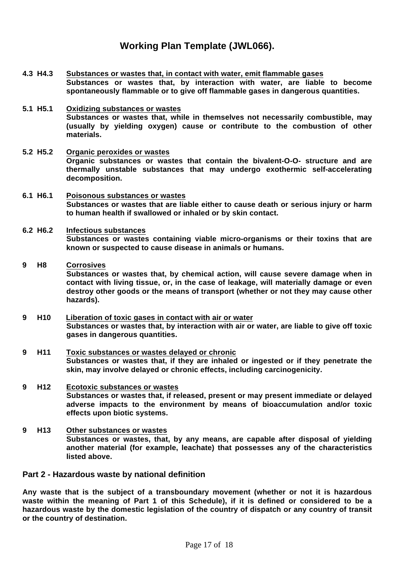- **4.3 H4.3 Substances or wastes that, in contact with water, emit flammable gases Substances or wastes that, by interaction with water, are liable to become spontaneously flammable or to give off flammable gases in dangerous quantities.**
- **5.1 H5.1 Oxidizing substances or wastes Substances or wastes that, while in themselves not necessarily combustible, may (usually by yielding oxygen) cause or contribute to the combustion of other materials.**
- **5.2 H5.2 Organic peroxides or wastes Organic substances or wastes that contain the bivalent-O-O- structure and are thermally unstable substances that may undergo exothermic self-accelerating decomposition.**
- **6.1 H6.1 Poisonous substances or wastes Substances or wastes that are liable either to cause death or serious injury or harm to human health if swallowed or inhaled or by skin contact.**

#### **6.2 H6.2 Infectious substances Substances or wastes containing viable micro-organisms or their toxins that are known or suspected to cause disease in animals or humans.**

### **9 H8 Corrosives**

**Substances or wastes that, by chemical action, will cause severe damage when in contact with living tissue, or, in the case of leakage, will materially damage or even destroy other goods or the means of transport (whether or not they may cause other hazards).**

- **9 H10 Liberation of toxic gases in contact with air or water Substances or wastes that, by interaction with air or water, are liable to give off toxic gases in dangerous quantities.**
- **9 H11 Toxic substances or wastes delayed or chronic Substances or wastes that, if they are inhaled or ingested or if they penetrate the skin, may involve delayed or chronic effects, including carcinogenicity.**
- **9 H12 Ecotoxic substances or wastes Substances or wastes that, if released, present or may present immediate or delayed adverse impacts to the environment by means of bioaccumulation and/or toxic effects upon biotic systems.**
- **9 H13 Other substances or wastes Substances or wastes, that, by any means, are capable after disposal of yielding another material (for example, leachate) that possesses any of the characteristics listed above.**

### **Part 2 - Hazardous waste by national definition**

**Any waste that is the subject of a transboundary movement (whether or not it is hazardous waste within the meaning of Part 1 of this Schedule), if it is defined or considered to be a hazardous waste by the domestic legislation of the country of dispatch or any country of transit or the country of destination.**